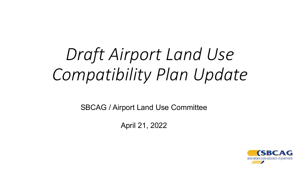# *Draft Airport Land Use Compatibility Plan Update*

SBCAG / Airport Land Use Committee

April 21, 2022

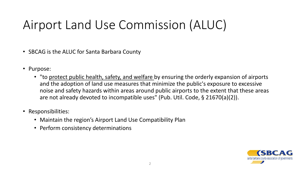## Airport Land Use Commission (ALUC)

- SBCAG is the ALUC for Santa Barbara County
- Purpose:
	- "to protect public health, safety, and welfare by ensuring the orderly expansion of airports and the adoption of land use measures that minimize the public's exposure to excessive noise and safety hazards within areas around public airports to the extent that these areas are not already devoted to incompatible uses" (Pub. Util. Code, § 21670(a)(2)).
- Responsibilities:
	- Maintain the region's Airport Land Use Compatibility Plan
	- Perform consistency determinations

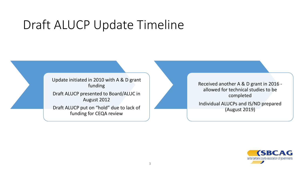### Draft ALUCP Update Timeline

Update initiated in 2010 with A & D grant funding Draft ALUCP presented to Board/ALUC in August 2012 Draft ALUCP put on "hold" due to lack of funding for CEQA review

Received another A & D grant in 2016 allowed for technical studies to be completed

Individual ALUCPs and IS/ND prepared (August 2019)

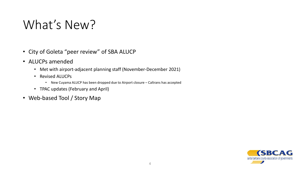### What's New?

- City of Goleta "peer review" of SBA ALUCP
- ALUCPs amended
	- Met with airport-adjacent planning staff (November-December 2021)
	- Revised ALUCPs
		- New Cuyama ALUCP has been dropped due to Airport closure Caltrans has accepted
	- TPAC updates (February and April)
- Web-based Tool / Story Map

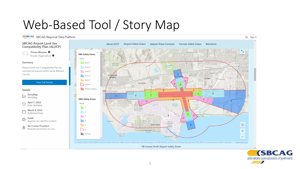## Web-Based Tool / Story Map

**SECAG** SBCAG Regional Data Platform





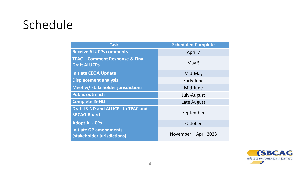### Schedule

| <b>Task</b>                                                       | <b>Scheduled Complete</b> |
|-------------------------------------------------------------------|---------------------------|
| <b>Receive ALUCPs comments</b>                                    | April 7                   |
| <b>TPAC - Comment Response &amp; Final</b><br><b>Draft ALUCPs</b> | May 5                     |
| <b>Initiate CEQA Update</b>                                       | Mid-May                   |
| <b>Displacement analysis</b>                                      | Early June                |
| Meet w/ stakeholder jurisdictions                                 | Mid-June                  |
| <b>Public outreach</b>                                            | July-August               |
| <b>Complete IS-ND</b>                                             | Late August               |
| <b>Draft IS-ND and ALUCPs to TPAC and</b><br><b>SBCAG Board</b>   | September                 |
| <b>Adopt ALUCPs</b>                                               | October                   |
| <b>Initiate GP amendments</b><br>(stakeholder jurisdictions)      | November - April 2023     |